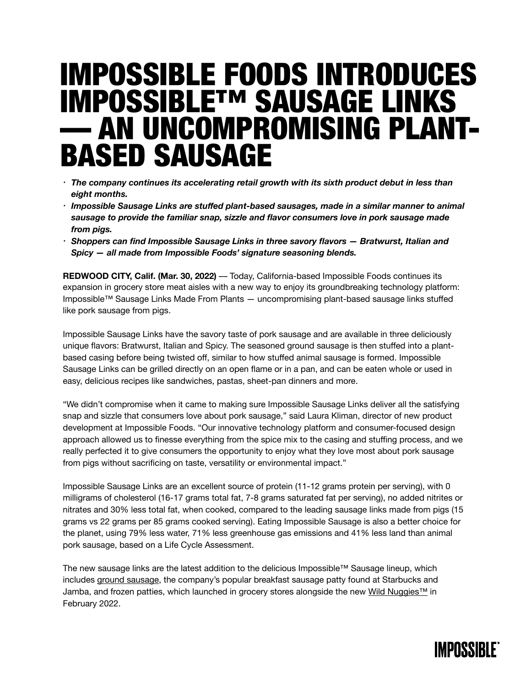# IMPOSSIBLE FOODS INTRODUCES IMPOSSIBLE™ SAUSAGE LINKS — AN UNCOMPROMISING PLANT-BASED SAUSAGE

- *• The company continues its accelerating retail growth with its sixth product debut in less than eight months.*
- *• Impossible Sausage Links are stuffed plant-based sausages, made in a similar manner to animal sausage to provide the familiar snap, sizzle and flavor consumers love in pork sausage made from pigs.*
- *• Shoppers can find Impossible Sausage Links in three savory flavors Bratwurst, Italian and Spicy — all made from Impossible Foods' signature seasoning blends.*

**REDWOOD CITY, Calif. (Mar. 30, 2022)** — Today, California-based Impossible Foods continues its expansion in grocery store meat aisles with a new way to enjoy its groundbreaking technology platform: Impossible™ Sausage Links Made From Plants — uncompromising plant-based sausage links stuffed like pork sausage from pigs.

Impossible Sausage Links have the savory taste of pork sausage and are available in three deliciously unique flavors: Bratwurst, Italian and Spicy. The seasoned ground sausage is then stuffed into a plantbased casing before being twisted off, similar to how stuffed animal sausage is formed. Impossible Sausage Links can be grilled directly on an open flame or in a pan, and can be eaten whole or used in easy, delicious recipes like sandwiches, pastas, sheet-pan dinners and more.

"We didn't compromise when it came to making sure Impossible Sausage Links deliver all the satisfying snap and sizzle that consumers love about pork sausage," said Laura Kliman, director of new product development at Impossible Foods. "Our innovative technology platform and consumer-focused design approach allowed us to finesse everything from the spice mix to the casing and stuffing process, and we really perfected it to give consumers the opportunity to enjoy what they love most about pork sausage from pigs without sacrificing on taste, versatility or environmental impact."

Impossible Sausage Links are an excellent source of protein (11-12 grams protein per serving), with 0 milligrams of cholesterol (16-17 grams total fat, 7-8 grams saturated fat per serving), no added nitrites or nitrates and 30% less total fat, when cooked, compared to the leading sausage links made from pigs (15 grams vs 22 grams per 85 grams cooked serving). Eating Impossible Sausage is also a better choice for the planet, using 79% less water, 71% less greenhouse gas emissions and 41% less land than animal pork sausage, based on a Life Cycle Assessment.

The new sausage links are the latest addition to the delicious Impossible™ Sausage lineup, which includes [ground sausage,](https://impossiblefoods.com/media/news-releases/impossible-sausage-made-from-plants-arrives-in-home-kitchens) the company's popular breakfast sausage patty found at Starbucks and Jamba, and frozen patties, which launched in grocery stores alongside the new Wild Nuggies<sup>™</sup> in February 2022.